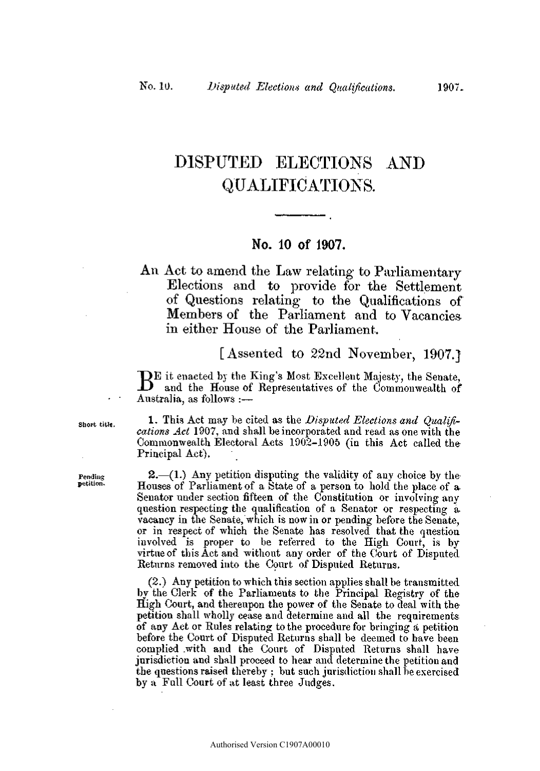# DISPUTED ELECTIONS AND QUALIFICATIONS.

### **No. 1 0 o f 1907 .**

# An Act to amend the Law relating to Parliamentary Elections and to provide for the Settlement of Questions relating to the Qualifications of Members of the Parliament and to Vacancies in either House of the Parliament.

## [Assented to 22nd November, 1907.]

BE it enacted by the King's Most Excellent Majesty, the Senate, and the House of Representatives of the Commonwealth of and the House of Representatives of the Commonwealth of • • Australia, as follows :—

short title. **1.** This Act may be cited as the *Disputed Elections and Qualifications Act* 1907, and shall be incorporated and read as one with the Commonwealth Electoral Acts 1902-1905 (in this Act called the Principal Act),

**Fending 2.—(1.) Any petition disputing the validity of any choice by the**<br>**Petition.** Houses of Parliament of a State of a person to hold the place of a Houses of Parliament of a State of a person to hold the place of a. Senator under section fifteen of the Constitution or involving any question respecting the qualification of a Senator or respecting a vacancy in the Senate, which is now in or pending before the Senate, or in respect of which the Senate has resolved that the question involved is proper to be referred to the High Court, is by virtue of this Act and without any order of the Court of Disputed Returns removed into the Court of Disputed Returns.

> (2.) Any petition to which this section applies shall be transmitted by the Clerk of the Parliaments to the Principal Registry of the High Court, and thereupon the power of the Senate to deal with the petition shall wholly cease and determine and all the requirements of any Act or Rules relating to the procedure for bringing a petition before the Court of Disputed Returns shall be deemed to have been complied .with and the Court of Disputed Returns shall have jurisdiction and shall proceed to hear and determine the petition and the questions raised thereby ; but such jurisdiction shall be exercised by a Full Court of at least three Judges.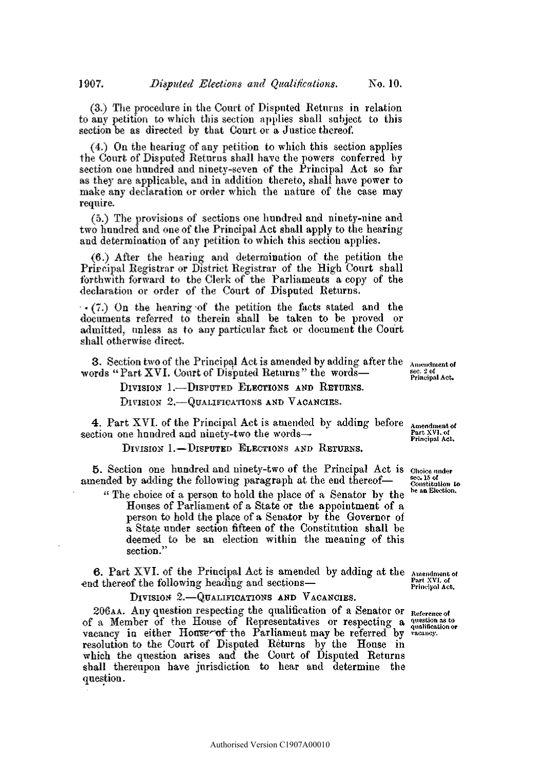(3.) The procedure in the Court of Disputed Returns in relation to any petition to which this section applies shall subject to this section be as directed by that Court or a Justice thereof.

(4.) On the heariog of any petition to which this section applies the Court of Disputed Returns shall have the powers conferred by section one hundred and ninety-seven of the Principal Act so far as they are applicable, and in addition thereto, shall have power to make any declaration or order which the nature of the case may require.

(5.) The provisions of sections one hundred and ninety-nine and two hundred and one of the Principal Act shall apply to the hearing and determination of any petition to which this section applies.

(6.) After the hearing and determination of the petition the Prircipal Registrar or District Registrar of the High Court shall forthwith forward to the Clerk of the Parliaments a copy of the declaration or order of the Court of Disputed Returns.

 $\cdot$  (7.) On the hearing of the petition the facts stated and the documents referred to therein shall be taken to be proved or admitted, unless as to any particular fact or document the Court shall otherwise direct.

3. Section two of the Principal Act is amended by adding after the Amendment of words "Part XVI. Court of Disputed Returns" the words— **Example 2.2 of** Principal Act.

**DIVISION** 1.—**DISPUTED ELECTION S AN D RETURNS .** 

**DIVISION** 2.—**QUALIFICATIONS AN D VACANCIES .** 

**4 Part XVI**. of the Principal Act is amended by adding before  $\Delta_{\text{mendiment of}}$ section one hundred and ninety-two the words—**· Execution**  $\frac{Part XVI. of **Period Act**$ 

**DIVISION** 1.-DISPUTED ELECTIONS AND RETURNS.

**<sup>5</sup> .** Section one hundred and ninety-two of the Principal Act **I S Choic e under**  amended by adding the following paragraph at the end thereof—  $\frac{sec\ 15 \text{ of}}{constitation\ to}$ 

" The choice of a person to hold the place of a Senator by the Houses of Parliament of a State or the appointment of a person to hold the place of a Senator by the Governor of a State under section fifteen of the Constitution shall be deemed to be an election within the meaning of this section."

**6.** Part XVI. of the Principal Act is amended by adding at the  $\frac{1}{k}$  amendment of end thereof the following heading and sections—<br>Principal Act.

**DIVISION** 2.—**QUALIFICATIONS AN D VACANCIES .** 

206**AA**. Any question respecting the qualification of a Senator or **Refermeeo <sup>i</sup>** of a Member of the House of Representatives or respecting a question as to vacancy in either Houserof the Parliament may be referred by vacancy. resolution to the Court of Disputed Returns by the House in which the question arises and the Court of Disputed Returns shall thereupon have jurisdiction to hear and determine the question.

be an Election.